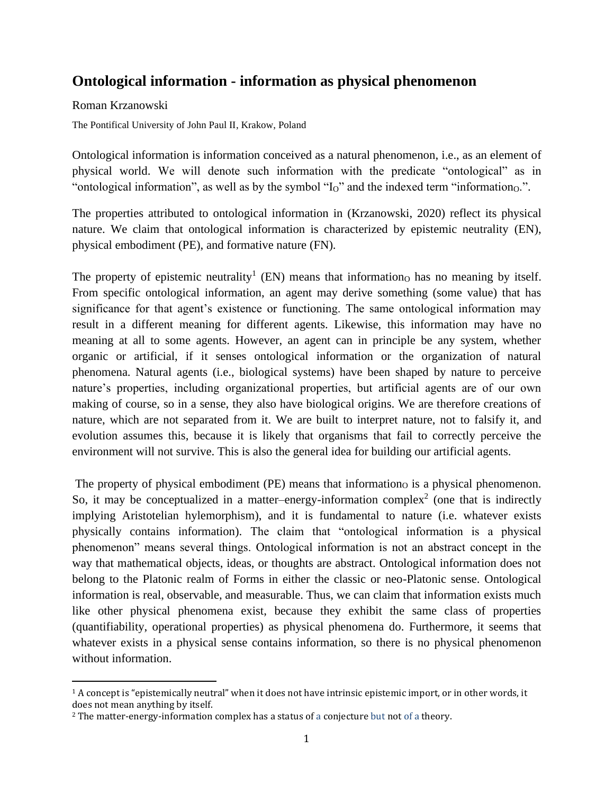## **Ontological information - information as physical phenomenon**

Roman Krzanowski

The Pontifical University of John Paul II, Krakow, Poland

Ontological information is information conceived as a natural phenomenon, i.e., as an element of physical world. We will denote such information with the predicate "ontological" as in "ontological information", as well as by the symbol " $I<sub>O</sub>$ " and the indexed term "information $O<sub>O</sub>$ ".

The properties attributed to ontological information in (Krzanowski, 2020) reflect its physical nature. We claim that ontological information is characterized by epistemic neutrality (EN), physical embodiment (PE), and formative nature (FN).

The property of epistemic neutrality<sup>1</sup> (EN) means that informationo has no meaning by itself. From specific ontological information, an agent may derive something (some value) that has significance for that agent's existence or functioning. The same ontological information may result in a different meaning for different agents. Likewise, this information may have no meaning at all to some agents. However, an agent can in principle be any system, whether organic or artificial, if it senses ontological information or the organization of natural phenomena. Natural agents (i.e., biological systems) have been shaped by nature to perceive nature's properties, including organizational properties, but artificial agents are of our own making of course, so in a sense, they also have biological origins. We are therefore creations of nature, which are not separated from it. We are built to interpret nature, not to falsify it, and evolution assumes this, because it is likely that organisms that fail to correctly perceive the environment will not survive. This is also the general idea for building our artificial agents.

The property of physical embodiment (PE) means that information is a physical phenomenon. So, it may be conceptualized in a matter–energy-information complex<sup>2</sup> (one that is indirectly implying Aristotelian hylemorphism), and it is fundamental to nature (i.e. whatever exists physically contains information). The claim that "ontological information is a physical phenomenon" means several things. Ontological information is not an abstract concept in the way that mathematical objects, ideas, or thoughts are abstract. Ontological information does not belong to the Platonic realm of Forms in either the classic or neo-Platonic sense. Ontological information is real, observable, and measurable. Thus, we can claim that information exists much like other physical phenomena exist, because they exhibit the same class of properties (quantifiability, operational properties) as physical phenomena do. Furthermore, it seems that whatever exists in a physical sense contains information, so there is no physical phenomenon without information.

 $1A$  concept is "epistemically neutral" when it does not have intrinsic epistemic import, or in other words, it does not mean anything by itself.

<sup>2</sup> The matter-energy-information complex has a status of a conjecture but not of a theory.